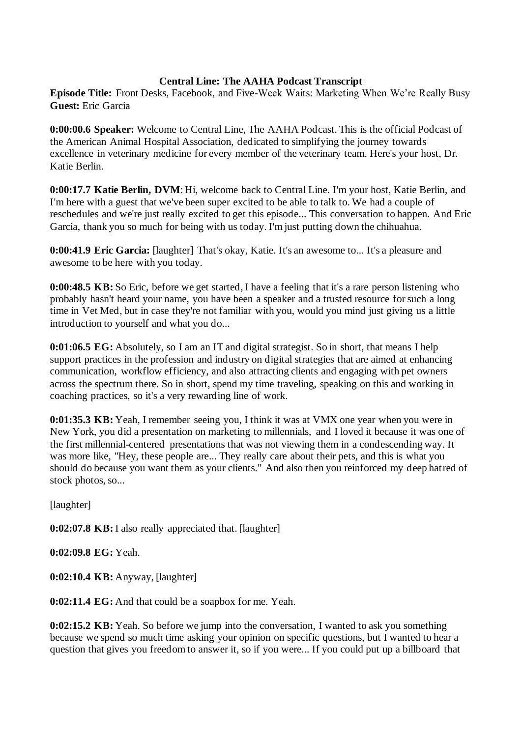### **Central Line: The AAHA Podcast Transcript**

**Episode Title:** Front Desks, Facebook, and Five-Week Waits: Marketing When We're Really Busy **Guest:** Eric Garcia

**0:00:00.6 Speaker:** Welcome to Central Line, The AAHA Podcast. This is the official Podcast of the American Animal Hospital Association, dedicated to simplifying the journey towards excellence in veterinary medicine for every member of the veterinary team. Here's your host, Dr. Katie Berlin.

**0:00:17.7 Katie Berlin, DVM**: Hi, welcome back to Central Line. I'm your host, Katie Berlin, and I'm here with a guest that we've been super excited to be able to talk to. We had a couple of reschedules and we're just really excited to get this episode... This conversation to happen. And Eric Garcia, thank you so much for being with us today. I'm just putting down the chihuahua.

**0:00:41.9 Eric Garcia:** [laughter] That's okay, Katie. It's an awesome to... It's a pleasure and awesome to be here with you today.

**0:00:48.5 KB:** So Eric, before we get started, I have a feeling that it's a rare person listening who probably hasn't heard your name, you have been a speaker and a trusted resource for such a long time in Vet Med, but in case they're not familiar with you, would you mind just giving us a little introduction to yourself and what you do...

**0:01:06.5 EG:** Absolutely, so I am an IT and digital strategist. So in short, that means I help support practices in the profession and industry on digital strategies that are aimed at enhancing communication, workflow efficiency, and also attracting clients and engaging with pet owners across the spectrum there. So in short, spend my time traveling, speaking on this and working in coaching practices, so it's a very rewarding line of work.

**0:01:35.3 KB:** Yeah, I remember seeing you, I think it was at VMX one year when you were in New York, you did a presentation on marketing to millennials, and I loved it because it was one of the first millennial-centered presentations that was not viewing them in a condescending way. It was more like, "Hey, these people are... They really care about their pets, and this is what you should do because you want them as your clients." And also then you reinforced my deep hatred of stock photos, so...

[laughter]

**0:02:07.8 KB:** I also really appreciated that. [laughter]

**0:02:09.8 EG:** Yeah.

**0:02:10.4 KB:** Anyway, [laughter]

**0:02:11.4 EG:** And that could be a soapbox for me. Yeah.

**0:02:15.2 KB:** Yeah. So before we jump into the conversation, I wanted to ask you something because we spend so much time asking your opinion on specific questions, but I wanted to hear a question that gives you freedom to answer it, so if you were... If you could put up a billboard that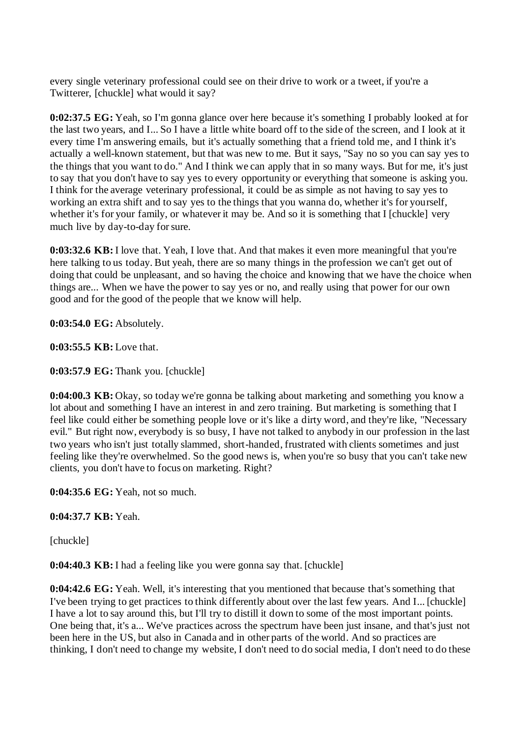every single veterinary professional could see on their drive to work or a tweet, if you're a Twitterer, [chuckle] what would it say?

**0:02:37.5 EG:** Yeah, so I'm gonna glance over here because it's something I probably looked at for the last two years, and I... So I have a little white board off to the side of the screen, and I look at it every time I'm answering emails, but it's actually something that a friend told me, and I think it's actually a well-known statement, but that was new to me. But it says, "Say no so you can say yes to the things that you want to do." And I think we can apply that in so many ways. But for me, it's just to say that you don't have to say yes to every opportunity or everything that someone is asking you. I think for the average veterinary professional, it could be as simple as not having to say yes to working an extra shift and to say yes to the things that you wanna do, whether it's for yourself, whether it's for your family, or whatever it may be. And so it is something that I [chuckle] very much live by day-to-day for sure.

**0:03:32.6 KB:** I love that. Yeah, I love that. And that makes it even more meaningful that you're here talking to us today. But yeah, there are so many things in the profession we can't get out of doing that could be unpleasant, and so having the choice and knowing that we have the choice when things are... When we have the power to say yes or no, and really using that power for our own good and for the good of the people that we know will help.

**0:03:54.0 EG:** Absolutely.

**0:03:55.5 KB:** Love that.

**0:03:57.9 EG:** Thank you. [chuckle]

**0:04:00.3 KB:** Okay, so today we're gonna be talking about marketing and something you know a lot about and something I have an interest in and zero training. But marketing is something that I feel like could either be something people love or it's like a dirty word, and they're like, "Necessary evil." But right now, everybody is so busy, I have not talked to anybody in our profession in the last two years who isn't just totally slammed, short-handed, frustrated with clients sometimes and just feeling like they're overwhelmed. So the good news is, when you're so busy that you can't take new clients, you don't have to focus on marketing. Right?

**0:04:35.6 EG:** Yeah, not so much.

**0:04:37.7 KB:** Yeah.

[chuckle]

**0:04:40.3 KB:** I had a feeling like you were gonna say that. [chuckle]

**0:04:42.6 EG:** Yeah. Well, it's interesting that you mentioned that because that's something that I've been trying to get practices to think differently about over the last few years. And I... [chuckle] I have a lot to say around this, but I'll try to distill it down to some of the most important points. One being that, it's a... We've practices across the spectrum have been just insane, and that's just not been here in the US, but also in Canada and in other parts of the world. And so practices are thinking, I don't need to change my website, I don't need to do social media, I don't need to do these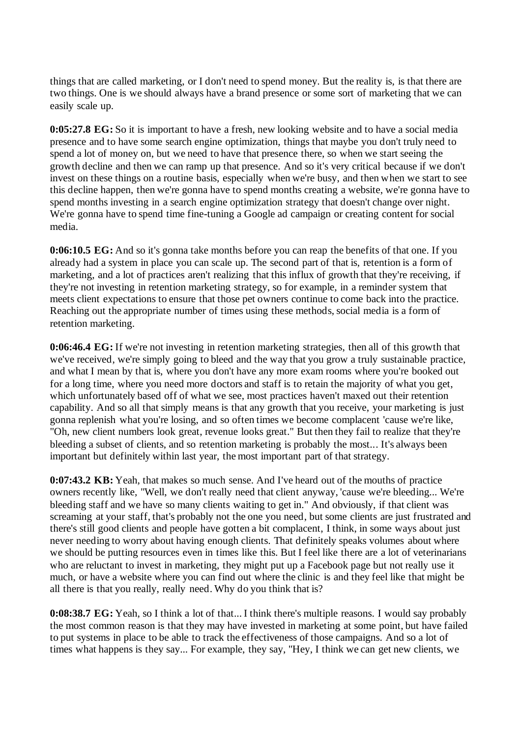things that are called marketing, or I don't need to spend money. But the reality is, is that there are two things. One is we should always have a brand presence or some sort of marketing that we can easily scale up.

**0:05:27.8 EG:** So it is important to have a fresh, new looking website and to have a social media presence and to have some search engine optimization, things that maybe you don't truly need to spend a lot of money on, but we need to have that presence there, so when we start seeing the growth decline and then we can ramp up that presence. And so it's very critical because if we don't invest on these things on a routine basis, especially when we're busy, and then when we start to see this decline happen, then we're gonna have to spend months creating a website, we're gonna have to spend months investing in a search engine optimization strategy that doesn't change over night. We're gonna have to spend time fine-tuning a Google ad campaign or creating content for social media.

**0:06:10.5 EG:** And so it's gonna take months before you can reap the benefits of that one. If you already had a system in place you can scale up. The second part of that is, retention is a form of marketing, and a lot of practices aren't realizing that this influx of growth that they're receiving, if they're not investing in retention marketing strategy, so for example, in a reminder system that meets client expectations to ensure that those pet owners continue to come back into the practice. Reaching out the appropriate number of times using these methods, social media is a form of retention marketing.

**0:06:46.4 EG:** If we're not investing in retention marketing strategies, then all of this growth that we've received, we're simply going to bleed and the way that you grow a truly sustainable practice, and what I mean by that is, where you don't have any more exam rooms where you're booked out for a long time, where you need more doctors and staff is to retain the majority of what you get, which unfortunately based off of what we see, most practices haven't maxed out their retention capability. And so all that simply means is that any growth that you receive, your marketing is just gonna replenish what you're losing, and so often times we become complacent 'cause we're like, "Oh, new client numbers look great, revenue looks great." But then they fail to realize that they're bleeding a subset of clients, and so retention marketing is probably the most... It's always been important but definitely within last year, the most important part of that strategy.

**0:07:43.2 KB:** Yeah, that makes so much sense. And I've heard out of the mouths of practice owners recently like, "Well, we don't really need that client anyway, 'cause we're bleeding... We're bleeding staff and we have so many clients waiting to get in." And obviously, if that client was screaming at your staff, that's probably not the one you need, but some clients are just frustrated and there's still good clients and people have gotten a bit complacent, I think, in some ways about just never needing to worry about having enough clients. That definitely speaks volumes about where we should be putting resources even in times like this. But I feel like there are a lot of veterinarians who are reluctant to invest in marketing, they might put up a Facebook page but not really use it much, or have a website where you can find out where the clinic is and they feel like that might be all there is that you really, really need. Why do you think that is?

**0:08:38.7 EG:** Yeah, so I think a lot of that... I think there's multiple reasons. I would say probably the most common reason is that they may have invested in marketing at some point, but have failed to put systems in place to be able to track the effectiveness of those campaigns. And so a lot of times what happens is they say... For example, they say, "Hey, I think we can get new clients, we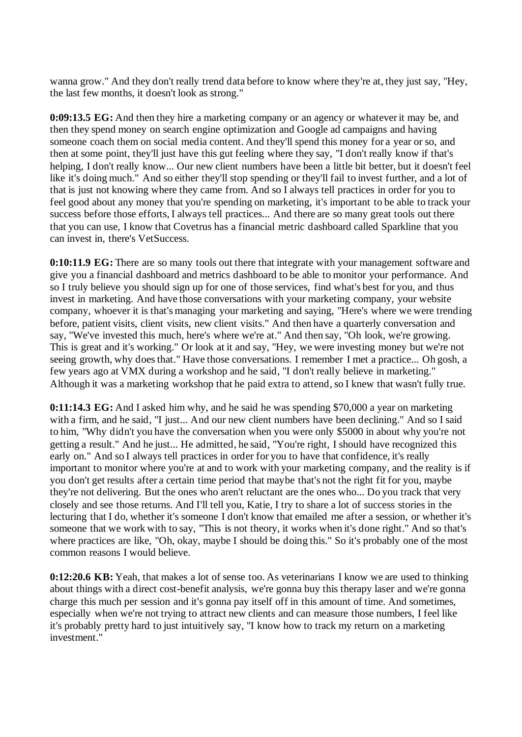wanna grow." And they don't really trend data before to know where they're at, they just say, "Hey, the last few months, it doesn't look as strong."

**0:09:13.5 EG:** And then they hire a marketing company or an agency or whatever it may be, and then they spend money on search engine optimization and Google ad campaigns and having someone coach them on social media content. And they'll spend this money for a year or so, and then at some point, they'll just have this gut feeling where they say, "I don't really know if that's helping, I don't really know... Our new client numbers have been a little bit better, but it doesn't feel like it's doing much." And so either they'll stop spending or they'll fail to invest further, and a lot of that is just not knowing where they came from. And so I always tell practices in order for you to feel good about any money that you're spending on marketing, it's important to be able to track your success before those efforts, I always tell practices... And there are so many great tools out there that you can use, I know that Covetrus has a financial metric dashboard called Sparkline that you can invest in, there's VetSuccess.

**0:10:11.9 EG:** There are so many tools out there that integrate with your management software and give you a financial dashboard and metrics dashboard to be able to monitor your performance. And so I truly believe you should sign up for one of those services, find what's best for you, and thus invest in marketing. And have those conversations with your marketing company, your website company, whoever it is that's managing your marketing and saying, "Here's where we were trending before, patient visits, client visits, new client visits." And then have a quarterly conversation and say, "We've invested this much, here's where we're at." And then say, "Oh look, we're growing. This is great and it's working." Or look at it and say, "Hey, we were investing money but we're not seeing growth, why does that." Have those conversations. I remember I met a practice... Oh gosh, a few years ago at VMX during a workshop and he said, "I don't really believe in marketing." Although it was a marketing workshop that he paid extra to attend, so I knew that wasn't fully true.

**0:11:14.3 EG:** And I asked him why, and he said he was spending \$70,000 a year on marketing with a firm, and he said, "I just... And our new client numbers have been declining." And so I said to him, "Why didn't you have the conversation when you were only \$5000 in about why you're not getting a result." And he just... He admitted, he said, "You're right, I should have recognized this early on." And so I always tell practices in order for you to have that confidence, it's really important to monitor where you're at and to work with your marketing company, and the reality is if you don't get results after a certain time period that maybe that's not the right fit for you, maybe they're not delivering. But the ones who aren't reluctant are the ones who... Do you track that very closely and see those returns. And I'll tell you, Katie, I try to share a lot of success stories in the lecturing that I do, whether it's someone I don't know that emailed me after a session, or whether it's someone that we work with to say, "This is not theory, it works when it's done right." And so that's where practices are like, "Oh, okay, maybe I should be doing this." So it's probably one of the most common reasons I would believe.

**0:12:20.6 KB:** Yeah, that makes a lot of sense too. As veterinarians I know we are used to thinking about things with a direct cost-benefit analysis, we're gonna buy this therapy laser and we're gonna charge this much per session and it's gonna pay itself off in this amount of time. And sometimes, especially when we're not trying to attract new clients and can measure those numbers, I feel like it's probably pretty hard to just intuitively say, "I know how to track my return on a marketing investment."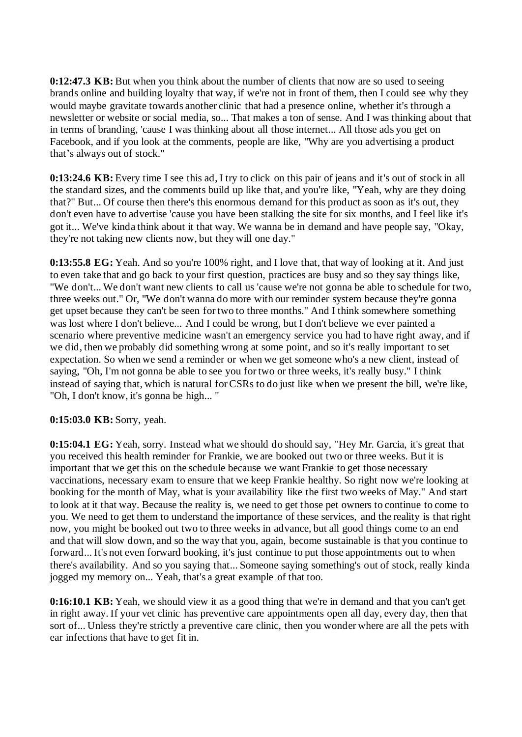**0:12:47.3 KB:** But when you think about the number of clients that now are so used to seeing brands online and building loyalty that way, if we're not in front of them, then I could see why they would maybe gravitate towards another clinic that had a presence online, whether it's through a newsletter or website or social media, so... That makes a ton of sense. And I was thinking about that in terms of branding, 'cause I was thinking about all those internet... All those ads you get on Facebook, and if you look at the comments, people are like, "Why are you advertising a product that's always out of stock."

**0:13:24.6 KB:** Every time I see this ad, I try to click on this pair of jeans and it's out of stock in all the standard sizes, and the comments build up like that, and you're like, "Yeah, why are they doing that?" But... Of course then there's this enormous demand for this product as soon as it's out, they don't even have to advertise 'cause you have been stalking the site for six months, and I feel like it's got it... We've kinda think about it that way. We wanna be in demand and have people say, "Okay, they're not taking new clients now, but they will one day."

**0:13:55.8 EG:** Yeah. And so you're 100% right, and I love that, that way of looking at it. And just to even take that and go back to your first question, practices are busy and so they say things like, "We don't... We don't want new clients to call us 'cause we're not gonna be able to schedule for two, three weeks out." Or, "We don't wanna do more with our reminder system because they're gonna get upset because they can't be seen for two to three months." And I think somewhere something was lost where I don't believe... And I could be wrong, but I don't believe we ever painted a scenario where preventive medicine wasn't an emergency service you had to have right away, and if we did, then we probably did something wrong at some point, and so it's really important to set expectation. So when we send a reminder or when we get someone who's a new client, instead of saying, "Oh, I'm not gonna be able to see you for two or three weeks, it's really busy." I think instead of saying that, which is natural for CSRs to do just like when we present the bill, we're like, "Oh, I don't know, it's gonna be high... "

#### **0:15:03.0 KB:** Sorry, yeah.

**0:15:04.1 EG:** Yeah, sorry. Instead what we should do should say, "Hey Mr. Garcia, it's great that you received this health reminder for Frankie, we are booked out two or three weeks. But it is important that we get this on the schedule because we want Frankie to get those necessary vaccinations, necessary exam to ensure that we keep Frankie healthy. So right now we're looking at booking for the month of May, what is your availability like the first two weeks of May." And start to look at it that way. Because the reality is, we need to get those pet owners to continue to come to you. We need to get them to understand the importance of these services, and the reality is that right now, you might be booked out two to three weeks in advance, but all good things come to an end and that will slow down, and so the way that you, again, become sustainable is that you continue to forward... It's not even forward booking, it's just continue to put those appointments out to when there's availability. And so you saying that... Someone saying something's out of stock, really kinda jogged my memory on... Yeah, that's a great example of that too.

**0:16:10.1 KB:** Yeah, we should view it as a good thing that we're in demand and that you can't get in right away. If your vet clinic has preventive care appointments open all day, every day, then that sort of... Unless they're strictly a preventive care clinic, then you wonder where are all the pets with ear infections that have to get fit in.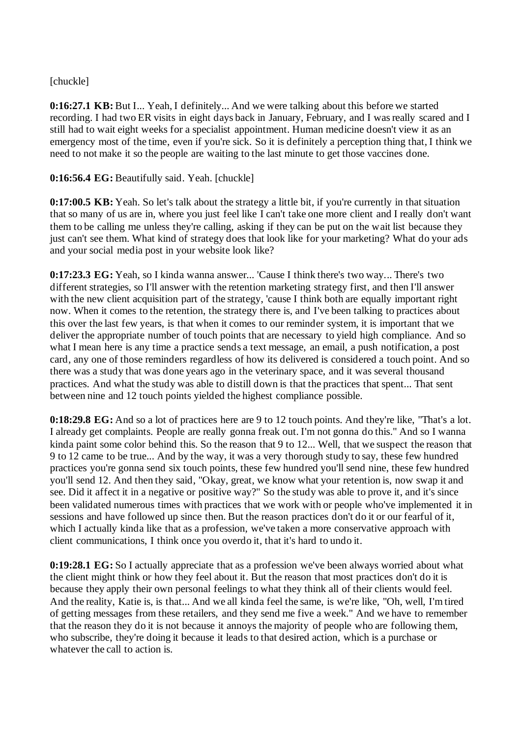# [chuckle]

**0:16:27.1 KB:** But I... Yeah, I definitely... And we were talking about this before we started recording. I had two ER visits in eight days back in January, February, and I was really scared and I still had to wait eight weeks for a specialist appointment. Human medicine doesn't view it as an emergency most of the time, even if you're sick. So it is definitely a perception thing that, I think we need to not make it so the people are waiting to the last minute to get those vaccines done.

### **0:16:56.4 EG:** Beautifully said. Yeah. [chuckle]

**0:17:00.5 KB:** Yeah. So let's talk about the strategy a little bit, if you're currently in that situation that so many of us are in, where you just feel like I can't take one more client and I really don't want them to be calling me unless they're calling, asking if they can be put on the wait list because they just can't see them. What kind of strategy does that look like for your marketing? What do your ads and your social media post in your website look like?

**0:17:23.3 EG:** Yeah, so I kinda wanna answer... 'Cause I think there's two way... There's two different strategies, so I'll answer with the retention marketing strategy first, and then I'll answer with the new client acquisition part of the strategy, 'cause I think both are equally important right now. When it comes to the retention, the strategy there is, and I've been talking to practices about this over the last few years, is that when it comes to our reminder system, it is important that we deliver the appropriate number of touch points that are necessary to yield high compliance. And so what I mean here is any time a practice sends a text message, an email, a push notification, a post card, any one of those reminders regardless of how its delivered is considered a touch point. And so there was a study that was done years ago in the veterinary space, and it was several thousand practices. And what the study was able to distill down is that the practices that spent... That sent between nine and 12 touch points yielded the highest compliance possible.

**0:18:29.8 EG:** And so a lot of practices here are 9 to 12 touch points. And they're like, "That's a lot. I already get complaints. People are really gonna freak out. I'm not gonna do this." And so I wanna kinda paint some color behind this. So the reason that 9 to 12... Well, that we suspect the reason that 9 to 12 came to be true... And by the way, it was a very thorough study to say, these few hundred practices you're gonna send six touch points, these few hundred you'll send nine, these few hundred you'll send 12. And then they said, "Okay, great, we know what your retention is, now swap it and see. Did it affect it in a negative or positive way?" So the study was able to prove it, and it's since been validated numerous times with practices that we work with or people who've implemented it in sessions and have followed up since then. But the reason practices don't do it or our fearful of it, which I actually kinda like that as a profession, we've taken a more conservative approach with client communications, I think once you overdo it, that it's hard to undo it.

**0:19:28.1 EG:** So I actually appreciate that as a profession we've been always worried about what the client might think or how they feel about it. But the reason that most practices don't do it is because they apply their own personal feelings to what they think all of their clients would feel. And the reality, Katie is, is that... And we all kinda feel the same, is we're like, "Oh, well, I'm tired of getting messages from these retailers, and they send me five a week." And we have to remember that the reason they do it is not because it annoys the majority of people who are following them, who subscribe, they're doing it because it leads to that desired action, which is a purchase or whatever the call to action is.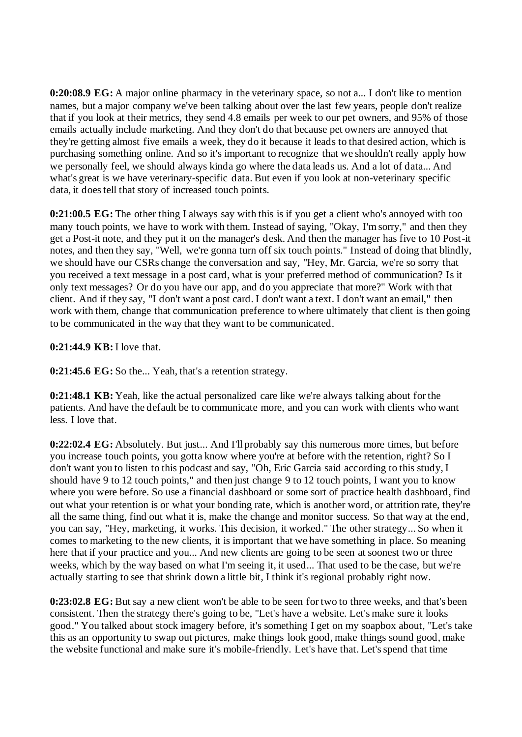**0:20:08.9 EG:** A major online pharmacy in the veterinary space, so not a... I don't like to mention names, but a major company we've been talking about over the last few years, people don't realize that if you look at their metrics, they send 4.8 emails per week to our pet owners, and 95% of those emails actually include marketing. And they don't do that because pet owners are annoyed that they're getting almost five emails a week, they do it because it leads to that desired action, which is purchasing something online. And so it's important to recognize that we shouldn't really apply how we personally feel, we should always kinda go where the data leads us. And a lot of data... And what's great is we have veterinary-specific data. But even if you look at non-veterinary specific data, it does tell that story of increased touch points.

**0:21:00.5 EG:** The other thing I always say with this is if you get a client who's annoyed with too many touch points, we have to work with them. Instead of saying, "Okay, I'm sorry," and then they get a Post-it note, and they put it on the manager's desk. And then the manager has five to 10 Post-it notes, and then they say, "Well, we're gonna turn off six touch points." Instead of doing that blindly, we should have our CSRs change the conversation and say, "Hey, Mr. Garcia, we're so sorry that you received a text message in a post card, what is your preferred method of communication? Is it only text messages? Or do you have our app, and do you appreciate that more?" Work with that client. And if they say, "I don't want a post card. I don't want a text. I don't want an email," then work with them, change that communication preference to where ultimately that client is then going to be communicated in the way that they want to be communicated.

# **0:21:44.9 KB:** I love that.

**0:21:45.6 EG:** So the... Yeah, that's a retention strategy.

**0:21:48.1 KB:** Yeah, like the actual personalized care like we're always talking about for the patients. And have the default be to communicate more, and you can work with clients who want less. I love that.

**0:22:02.4 EG:** Absolutely. But just... And I'll probably say this numerous more times, but before you increase touch points, you gotta know where you're at before with the retention, right? So I don't want you to listen to this podcast and say, "Oh, Eric Garcia said according to this study, I should have 9 to 12 touch points," and then just change 9 to 12 touch points, I want you to know where you were before. So use a financial dashboard or some sort of practice health dashboard, find out what your retention is or what your bonding rate, which is another word, or attrition rate, they're all the same thing, find out what it is, make the change and monitor success. So that way at the end, you can say, "Hey, marketing, it works. This decision, it worked." The other strategy... So when it comes to marketing to the new clients, it is important that we have something in place. So meaning here that if your practice and you... And new clients are going to be seen at soonest two or three weeks, which by the way based on what I'm seeing it, it used... That used to be the case, but we're actually starting to see that shrink down a little bit, I think it's regional probably right now.

**0:23:02.8 EG:** But say a new client won't be able to be seen for two to three weeks, and that's been consistent. Then the strategy there's going to be, "Let's have a website. Let's make sure it looks good." You talked about stock imagery before, it's something I get on my soapbox about, "Let's take this as an opportunity to swap out pictures, make things look good, make things sound good, make the website functional and make sure it's mobile-friendly. Let's have that. Let's spend that time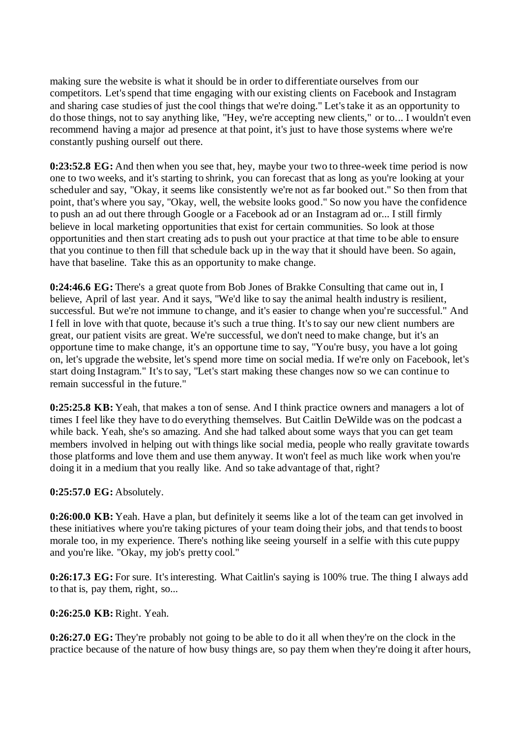making sure the website is what it should be in order to differentiate ourselves from our competitors. Let's spend that time engaging with our existing clients on Facebook and Instagram and sharing case studies of just the cool things that we're doing." Let's take it as an opportunity to do those things, not to say anything like, "Hey, we're accepting new clients," or to... I wouldn't even recommend having a major ad presence at that point, it's just to have those systems where we're constantly pushing ourself out there.

**0:23:52.8 EG:** And then when you see that, hey, maybe your two to three-week time period is now one to two weeks, and it's starting to shrink, you can forecast that as long as you're looking at your scheduler and say, "Okay, it seems like consistently we're not as far booked out." So then from that point, that's where you say, "Okay, well, the website looks good." So now you have the confidence to push an ad out there through Google or a Facebook ad or an Instagram ad or... I still firmly believe in local marketing opportunities that exist for certain communities. So look at those opportunities and then start creating ads to push out your practice at that time to be able to ensure that you continue to then fill that schedule back up in the way that it should have been. So again, have that baseline. Take this as an opportunity to make change.

**0:24:46.6 EG:** There's a great quote from Bob Jones of Brakke Consulting that came out in, I believe, April of last year. And it says, "We'd like to say the animal health industry is resilient, successful. But we're not immune to change, and it's easier to change when you're successful." And I fell in love with that quote, because it's such a true thing. It's to say our new client numbers are great, our patient visits are great. We're successful, we don't need to make change, but it's an opportune time to make change, it's an opportune time to say, "You're busy, you have a lot going on, let's upgrade the website, let's spend more time on social media. If we're only on Facebook, let's start doing Instagram." It's to say, "Let's start making these changes now so we can continue to remain successful in the future."

**0:25:25.8 KB:** Yeah, that makes a ton of sense. And I think practice owners and managers a lot of times I feel like they have to do everything themselves. But Caitlin DeWilde was on the podcast a while back. Yeah, she's so amazing. And she had talked about some ways that you can get team members involved in helping out with things like social media, people who really gravitate towards those platforms and love them and use them anyway. It won't feel as much like work when you're doing it in a medium that you really like. And so take advantage of that, right?

# **0:25:57.0 EG:** Absolutely.

**0:26:00.0 KB:** Yeah. Have a plan, but definitely it seems like a lot of the team can get involved in these initiatives where you're taking pictures of your team doing their jobs, and that tends to boost morale too, in my experience. There's nothing like seeing yourself in a selfie with this cute puppy and you're like. "Okay, my job's pretty cool."

**0:26:17.3 EG:** For sure. It's interesting. What Caitlin's saying is 100% true. The thing I always add to that is, pay them, right, so...

# **0:26:25.0 KB:** Right. Yeah.

**0:26:27.0 EG:** They're probably not going to be able to do it all when they're on the clock in the practice because of the nature of how busy things are, so pay them when they're doing it after hours,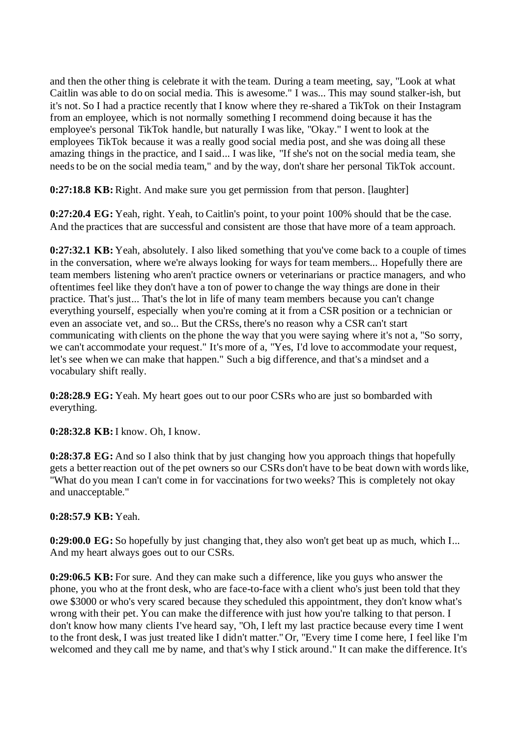and then the other thing is celebrate it with the team. During a team meeting, say, "Look at what Caitlin was able to do on social media. This is awesome." I was... This may sound stalker-ish, but it's not. So I had a practice recently that I know where they re-shared a TikTok on their Instagram from an employee, which is not normally something I recommend doing because it has the employee's personal TikTok handle, but naturally I was like, "Okay." I went to look at the employees TikTok because it was a really good social media post, and she was doing all these amazing things in the practice, and I said... I was like, "If she's not on the social media team, she needs to be on the social media team," and by the way, don't share her personal TikTok account.

**0:27:18.8 KB:** Right. And make sure you get permission from that person. [laughter]

**0:27:20.4 EG:** Yeah, right. Yeah, to Caitlin's point, to your point 100% should that be the case. And the practices that are successful and consistent are those that have more of a team approach.

**0:27:32.1 KB:** Yeah, absolutely. I also liked something that you've come back to a couple of times in the conversation, where we're always looking for ways for team members... Hopefully there are team members listening who aren't practice owners or veterinarians or practice managers, and who oftentimes feel like they don't have a ton of power to change the way things are done in their practice. That's just... That's the lot in life of many team members because you can't change everything yourself, especially when you're coming at it from a CSR position or a technician or even an associate vet, and so... But the CRSs, there's no reason why a CSR can't start communicating with clients on the phone the way that you were saying where it's not a, "So sorry, we can't accommodate your request." It's more of a, "Yes, I'd love to accommodate your request, let's see when we can make that happen." Such a big difference, and that's a mindset and a vocabulary shift really.

**0:28:28.9 EG:** Yeah. My heart goes out to our poor CSRs who are just so bombarded with everything.

**0:28:32.8 KB:** I know. Oh, I know.

**0:28:37.8 EG:** And so I also think that by just changing how you approach things that hopefully gets a better reaction out of the pet owners so our CSRs don't have to be beat down with words like, "What do you mean I can't come in for vaccinations for two weeks? This is completely not okay and unacceptable."

#### **0:28:57.9 KB:** Yeah.

**0:29:00.0 EG:** So hopefully by just changing that, they also won't get beat up as much, which I... And my heart always goes out to our CSRs.

**0:29:06.5 KB:** For sure. And they can make such a difference, like you guys who answer the phone, you who at the front desk, who are face-to-face with a client who's just been told that they owe \$3000 or who's very scared because they scheduled this appointment, they don't know what's wrong with their pet. You can make the difference with just how you're talking to that person. I don't know how many clients I've heard say, "Oh, I left my last practice because every time I went to the front desk, I was just treated like I didn't matter." Or, "Every time I come here, I feel like I'm welcomed and they call me by name, and that's why I stick around." It can make the difference. It's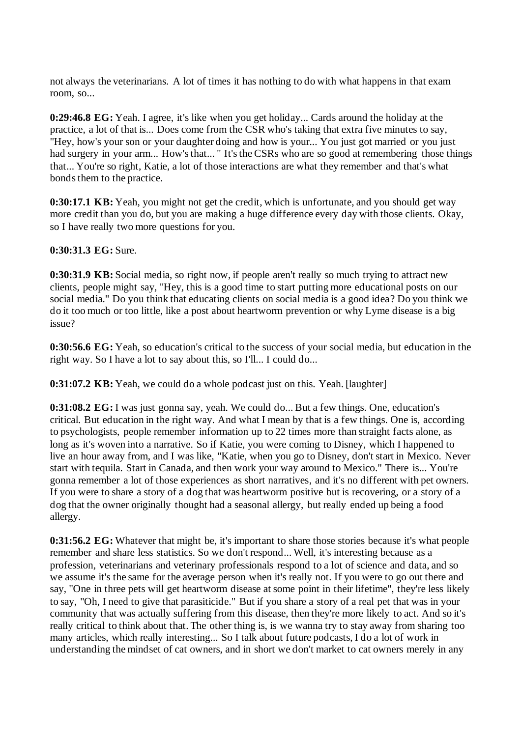not always the veterinarians. A lot of times it has nothing to do with what happens in that exam room, so...

**0:29:46.8 EG:** Yeah. I agree, it's like when you get holiday... Cards around the holiday at the practice, a lot of that is... Does come from the CSR who's taking that extra five minutes to say, "Hey, how's your son or your daughter doing and how is your... You just got married or you just had surgery in your arm... How's that... " It's the CSRs who are so good at remembering those things that... You're so right, Katie, a lot of those interactions are what they remember and that's what bonds them to the practice.

**0:30:17.1 KB:** Yeah, you might not get the credit, which is unfortunate, and you should get way more credit than you do, but you are making a huge difference every day with those clients. Okay, so I have really two more questions for you.

**0:30:31.3 EG:** Sure.

**0:30:31.9 KB:** Social media, so right now, if people aren't really so much trying to attract new clients, people might say, "Hey, this is a good time to start putting more educational posts on our social media." Do you think that educating clients on social media is a good idea? Do you think we do it too much or too little, like a post about heartworm prevention or why Lyme disease is a big issue?

**0:30:56.6 EG:** Yeah, so education's critical to the success of your social media, but education in the right way. So I have a lot to say about this, so I'll... I could do...

**0:31:07.2 KB:** Yeah, we could do a whole podcast just on this. Yeah. [laughter]

**0:31:08.2 EG:** I was just gonna say, yeah. We could do... But a few things. One, education's critical. But education in the right way. And what I mean by that is a few things. One is, according to psychologists, people remember information up to 22 times more than straight facts alone, as long as it's woven into a narrative. So if Katie, you were coming to Disney, which I happened to live an hour away from, and I was like, "Katie, when you go to Disney, don't start in Mexico. Never start with tequila. Start in Canada, and then work your way around to Mexico." There is... You're gonna remember a lot of those experiences as short narratives, and it's no different with pet owners. If you were to share a story of a dog that was heartworm positive but is recovering, or a story of a dog that the owner originally thought had a seasonal allergy, but really ended up being a food allergy.

**0:31:56.2 EG:** Whatever that might be, it's important to share those stories because it's what people remember and share less statistics. So we don't respond... Well, it's interesting because as a profession, veterinarians and veterinary professionals respond to a lot of science and data, and so we assume it's the same for the average person when it's really not. If you were to go out there and say, "One in three pets will get heartworm disease at some point in their lifetime", they're less likely to say, "Oh, I need to give that parasiticide." But if you share a story of a real pet that was in your community that was actually suffering from this disease, then they're more likely to act. And so it's really critical to think about that. The other thing is, is we wanna try to stay away from sharing too many articles, which really interesting... So I talk about future podcasts, I do a lot of work in understanding the mindset of cat owners, and in short we don't market to cat owners merely in any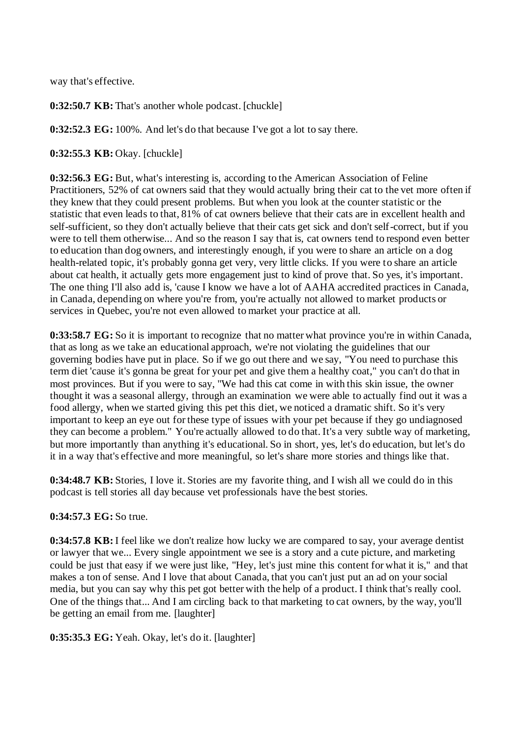way that's effective.

**0:32:50.7 KB:** That's another whole podcast. [chuckle]

**0:32:52.3 EG:** 100%. And let's do that because I've got a lot to say there.

**0:32:55.3 KB:** Okay. [chuckle]

**0:32:56.3 EG:** But, what's interesting is, according to the American Association of Feline Practitioners, 52% of cat owners said that they would actually bring their cat to the vet more often if they knew that they could present problems. But when you look at the counter statistic or the statistic that even leads to that, 81% of cat owners believe that their cats are in excellent health and self-sufficient, so they don't actually believe that their cats get sick and don't self-correct, but if you were to tell them otherwise... And so the reason I say that is, cat owners tend to respond even better to education than dog owners, and interestingly enough, if you were to share an article on a dog health-related topic, it's probably gonna get very, very little clicks. If you were to share an article about cat health, it actually gets more engagement just to kind of prove that. So yes, it's important. The one thing I'll also add is, 'cause I know we have a lot of AAHA accredited practices in Canada, in Canada, depending on where you're from, you're actually not allowed to market products or services in Quebec, you're not even allowed to market your practice at all.

**0:33:58.7 EG:** So it is important to recognize that no matter what province you're in within Canada, that as long as we take an educational approach, we're not violating the guidelines that our governing bodies have put in place. So if we go out there and we say, "You need to purchase this term diet 'cause it's gonna be great for your pet and give them a healthy coat," you can't do that in most provinces. But if you were to say, "We had this cat come in with this skin issue, the owner thought it was a seasonal allergy, through an examination we were able to actually find out it was a food allergy, when we started giving this pet this diet, we noticed a dramatic shift. So it's very important to keep an eye out for these type of issues with your pet because if they go undiagnosed they can become a problem." You're actually allowed to do that. It's a very subtle way of marketing, but more importantly than anything it's educational. So in short, yes, let's do education, but let's do it in a way that's effective and more meaningful, so let's share more stories and things like that.

**0:34:48.7 KB:** Stories, I love it. Stories are my favorite thing, and I wish all we could do in this podcast is tell stories all day because vet professionals have the best stories.

#### **0:34:57.3 EG:** So true.

**0:34:57.8 KB:** I feel like we don't realize how lucky we are compared to say, your average dentist or lawyer that we... Every single appointment we see is a story and a cute picture, and marketing could be just that easy if we were just like, "Hey, let's just mine this content for what it is," and that makes a ton of sense. And I love that about Canada, that you can't just put an ad on your social media, but you can say why this pet got better with the help of a product. I think that's really cool. One of the things that... And I am circling back to that marketing to cat owners, by the way, you'll be getting an email from me. [laughter]

**0:35:35.3 EG:** Yeah. Okay, let's do it. [laughter]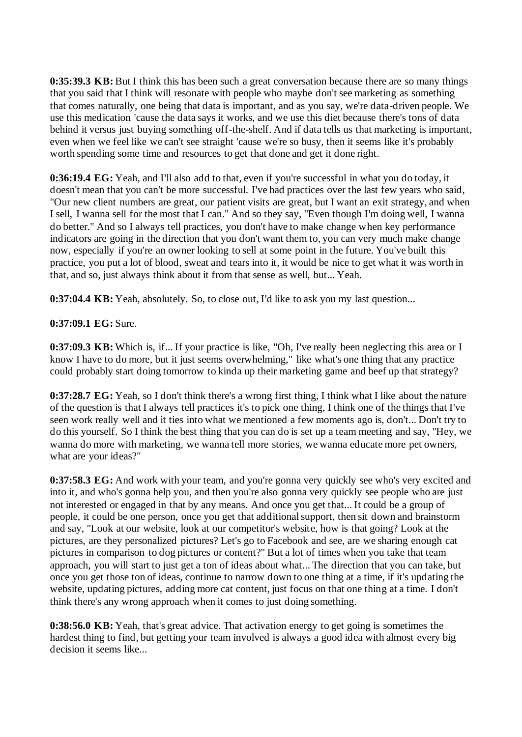**0:35:39.3 KB:** But I think this has been such a great conversation because there are so many things that you said that I think will resonate with people who maybe don't see marketing as something that comes naturally, one being that data is important, and as you say, we're data-driven people. We use this medication 'cause the data says it works, and we use this diet because there's tons of data behind it versus just buying something off-the-shelf. And if data tells us that marketing is important, even when we feel like we can't see straight 'cause we're so busy, then it seems like it's probably worth spending some time and resources to get that done and get it done right.

**0:36:19.4 EG:** Yeah, and I'll also add to that, even if you're successful in what you do today, it doesn't mean that you can't be more successful. I've had practices over the last few years who said, "Our new client numbers are great, our patient visits are great, but I want an exit strategy, and when I sell, I wanna sell for the most that I can." And so they say, "Even though I'm doing well, I wanna do better." And so I always tell practices, you don't have to make change when key performance indicators are going in the direction that you don't want them to, you can very much make change now, especially if you're an owner looking to sell at some point in the future. You've built this practice, you put a lot of blood, sweat and tears into it, it would be nice to get what it was worth in that, and so, just always think about it from that sense as well, but... Yeah.

**0:37:04.4 KB:** Yeah, absolutely. So, to close out, I'd like to ask you my last question...

### **0:37:09.1 EG:** Sure.

**0:37:09.3 KB:** Which is, if... If your practice is like, "Oh, I've really been neglecting this area or I know I have to do more, but it just seems overwhelming," like what's one thing that any practice could probably start doing tomorrow to kinda up their marketing game and beef up that strategy?

**0:37:28.7 EG:** Yeah, so I don't think there's a wrong first thing, I think what I like about the nature of the question is that I always tell practices it's to pick one thing, I think one of the things that I've seen work really well and it ties into what we mentioned a few moments ago is, don't... Don't try to do this yourself. So I think the best thing that you can do is set up a team meeting and say, "Hey, we wanna do more with marketing, we wanna tell more stories, we wanna educate more pet owners, what are your ideas?"

**0:37:58.3 EG:** And work with your team, and you're gonna very quickly see who's very excited and into it, and who's gonna help you, and then you're also gonna very quickly see people who are just not interested or engaged in that by any means. And once you get that... It could be a group of people, it could be one person, once you get that additional support, then sit down and brainstorm and say, "Look at our website, look at our competitor's website, how is that going? Look at the pictures, are they personalized pictures? Let's go to Facebook and see, are we sharing enough cat pictures in comparison to dog pictures or content?" But a lot of times when you take that team approach, you will start to just get a ton of ideas about what... The direction that you can take, but once you get those ton of ideas, continue to narrow down to one thing at a time, if it's updating the website, updating pictures, adding more cat content, just focus on that one thing at a time. I don't think there's any wrong approach when it comes to just doing something.

**0:38:56.0 KB:** Yeah, that's great advice. That activation energy to get going is sometimes the hardest thing to find, but getting your team involved is always a good idea with almost every big decision it seems like...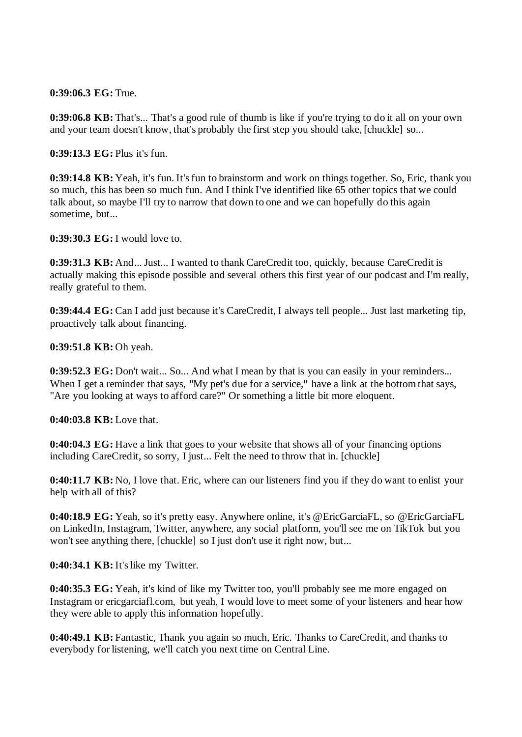**0:39:06.3 EG:** True.

**0:39:06.8 KB:** That's... That's a good rule of thumb is like if you're trying to do it all on your own and your team doesn't know, that's probably the first step you should take, [chuckle] so...

**0:39:13.3 EG:** Plus it's fun.

**0:39:14.8 KB:** Yeah, it's fun. It's fun to brainstorm and work on things together. So, Eric, thank you so much, this has been so much fun. And I think I've identified like 65 other topics that we could talk about, so maybe I'll try to narrow that down to one and we can hopefully do this again sometime, but...

**0:39:30.3 EG:** I would love to.

**0:39:31.3 KB:** And... Just... I wanted to thank CareCredit too, quickly, because CareCredit is actually making this episode possible and several others this first year of our podcast and I'm really, really grateful to them.

**0:39:44.4 EG:** Can I add just because it's CareCredit, I always tell people... Just last marketing tip, proactively talk about financing.

**0:39:51.8 KB:** Oh yeah.

**0:39:52.3 EG:** Don't wait... So... And what I mean by that is you can easily in your reminders... When I get a reminder that says, "My pet's due for a service," have a link at the bottom that says, "Are you looking at ways to afford care?" Or something a little bit more eloquent.

**0:40:03.8 KB:** Love that.

**0:40:04.3 EG:** Have a link that goes to your website that shows all of your financing options including CareCredit, so sorry, I just... Felt the need to throw that in. [chuckle]

**0:40:11.7 KB:** No, I love that. Eric, where can our listeners find you if they do want to enlist your help with all of this?

**0:40:18.9 EG:** Yeah, so it's pretty easy. Anywhere online, it's @EricGarciaFL, so @EricGarciaFL on LinkedIn, Instagram, Twitter, anywhere, any social platform, you'll see me on TikTok but you won't see anything there, [chuckle] so I just don't use it right now, but...

**0:40:34.1 KB:** It's like my Twitter.

**0:40:35.3 EG:** Yeah, it's kind of like my Twitter too, you'll probably see me more engaged on Instagram or ericgarciafl.com, but yeah, I would love to meet some of your listeners and hear how they were able to apply this information hopefully.

**0:40:49.1 KB:** Fantastic, Thank you again so much, Eric. Thanks to CareCredit, and thanks to everybody for listening, we'll catch you next time on Central Line.